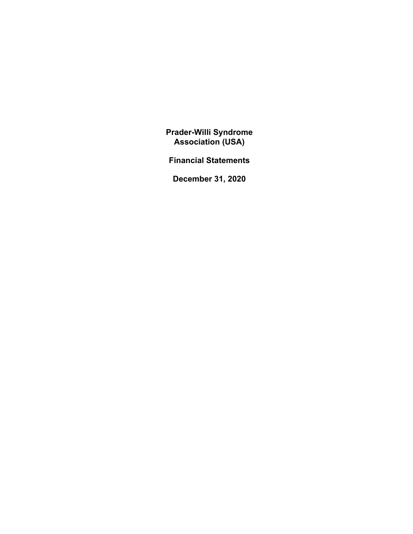**Financial Statements** 

**December 31, 2020**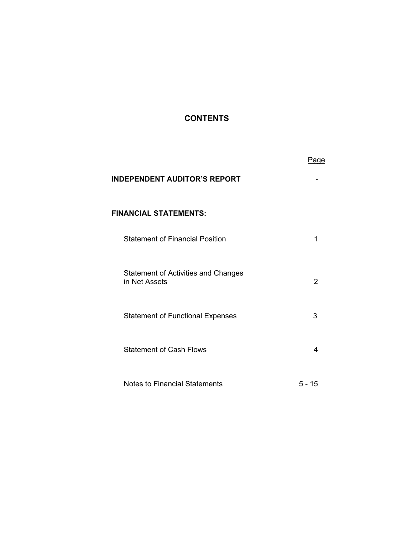# **CONTENTS**

|                                                             | Page           |
|-------------------------------------------------------------|----------------|
| <b>INDEPENDENT AUDITOR'S REPORT</b>                         |                |
| <b>FINANCIAL STATEMENTS:</b>                                |                |
| <b>Statement of Financial Position</b>                      | 1              |
| <b>Statement of Activities and Changes</b><br>in Net Assets | $\overline{2}$ |
| <b>Statement of Functional Expenses</b>                     | 3              |
| <b>Statement of Cash Flows</b>                              | 4              |
| <b>Notes to Financial Statements</b>                        | $5 - 15$       |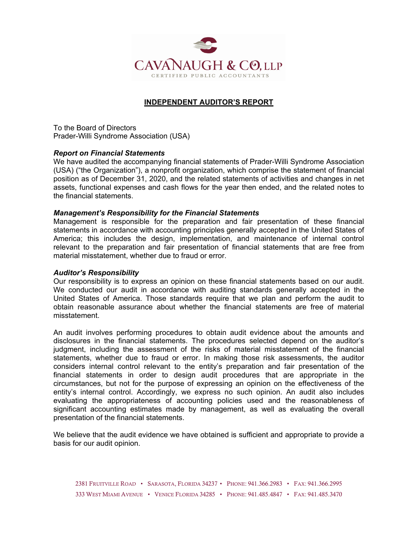

## **INDEPENDENT AUDITOR'S REPORT**

To the Board of Directors Prader-Willi Syndrome Association (USA)

### *Report on Financial Statements*

We have audited the accompanying financial statements of Prader-Willi Syndrome Association (USA) ("the Organization"), a nonprofit organization, which comprise the statement of financial position as of December 31, 2020, and the related statements of activities and changes in net assets, functional expenses and cash flows for the year then ended, and the related notes to the financial statements.

#### *Management's Responsibility for the Financial Statements*

Management is responsible for the preparation and fair presentation of these financial statements in accordance with accounting principles generally accepted in the United States of America; this includes the design, implementation, and maintenance of internal control relevant to the preparation and fair presentation of financial statements that are free from material misstatement, whether due to fraud or error.

### *Auditor's Responsibility*

Our responsibility is to express an opinion on these financial statements based on our audit. We conducted our audit in accordance with auditing standards generally accepted in the United States of America. Those standards require that we plan and perform the audit to obtain reasonable assurance about whether the financial statements are free of material misstatement.

An audit involves performing procedures to obtain audit evidence about the amounts and disclosures in the financial statements. The procedures selected depend on the auditor's judgment, including the assessment of the risks of material misstatement of the financial statements, whether due to fraud or error. In making those risk assessments, the auditor considers internal control relevant to the entity's preparation and fair presentation of the financial statements in order to design audit procedures that are appropriate in the circumstances, but not for the purpose of expressing an opinion on the effectiveness of the entity's internal control. Accordingly, we express no such opinion. An audit also includes evaluating the appropriateness of accounting policies used and the reasonableness of significant accounting estimates made by management, as well as evaluating the overall presentation of the financial statements.

We believe that the audit evidence we have obtained is sufficient and appropriate to provide a basis for our audit opinion.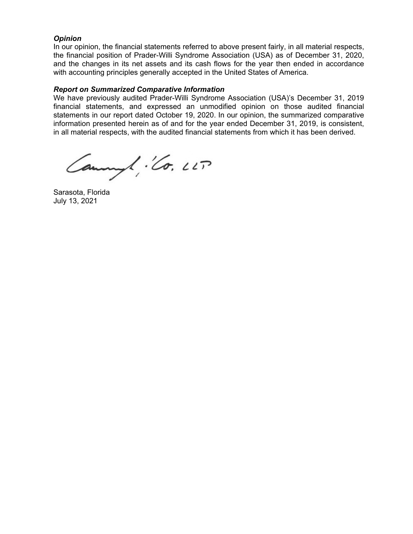### *Opinion*

In our opinion, the financial statements referred to above present fairly, in all material respects, the financial position of Prader-Willi Syndrome Association (USA) as of December 31, 2020, and the changes in its net assets and its cash flows for the year then ended in accordance with accounting principles generally accepted in the United States of America.

### *Report on Summarized Comparative Information*

We have previously audited Prader-Willi Syndrome Association (USA)'s December 31, 2019 financial statements, and expressed an unmodified opinion on those audited financial statements in our report dated October 19, 2020. In our opinion, the summarized comparative information presented herein as of and for the year ended December 31, 2019, is consistent, in all material respects, with the audited financial statements from which it has been derived.

Cannyl : Co. LLT

Sarasota, Florida July 13, 2021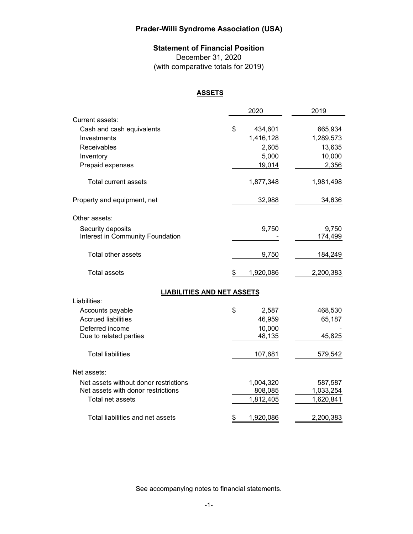## **Statement of Financial Position**

December 31, 2020 (with comparative totals for 2019)

### **ASSETS**

|                                       | 2020            | 2019      |
|---------------------------------------|-----------------|-----------|
| Current assets:                       |                 |           |
| Cash and cash equivalents             | \$<br>434,601   | 665,934   |
| Investments                           | 1,416,128       | 1,289,573 |
| Receivables                           | 2,605           | 13,635    |
| Inventory                             | 5,000           | 10,000    |
| Prepaid expenses                      | 19,014          | 2,356     |
| <b>Total current assets</b>           | 1,877,348       | 1,981,498 |
| Property and equipment, net           | 32,988          | 34,636    |
| Other assets:                         |                 |           |
| Security deposits                     | 9,750           | 9,750     |
| Interest in Community Foundation      |                 | 174,499   |
| Total other assets                    | 9,750           | 184,249   |
| <b>Total assets</b>                   | \$<br>1,920,086 | 2,200,383 |
| <b>LIABILITIES AND NET ASSETS</b>     |                 |           |
| Liabilities:                          |                 |           |
| Accounts payable                      | \$<br>2,587     | 468,530   |
| <b>Accrued liabilities</b>            | 46,959          | 65,187    |
| Deferred income                       | 10,000          |           |
| Due to related parties                | 48,135          | 45,825    |
| <b>Total liabilities</b>              | 107,681         | 579,542   |
| Net assets:                           |                 |           |
| Net assets without donor restrictions | 1,004,320       | 587,587   |
| Net assets with donor restrictions    | 808,085         | 1,033,254 |
| Total net assets                      | 1,812,405       | 1,620,841 |
| Total liabilities and net assets      | \$<br>1,920,086 | 2,200,383 |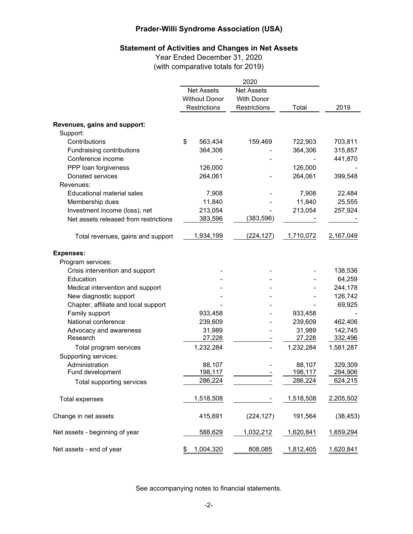# **Statement of Activities and Changes in Net Assets**

Year Ended December 31, 2020 (with comparative totals for 2019)

|                                       | 2020 |                      |                   |           |           |
|---------------------------------------|------|----------------------|-------------------|-----------|-----------|
|                                       |      | <b>Net Assets</b>    | <b>Net Assets</b> |           |           |
|                                       |      | <b>Without Donor</b> | <b>With Donor</b> |           |           |
|                                       |      | Restrictions         | Restrictions      | Total     | 2019      |
| Revenues, gains and support:          |      |                      |                   |           |           |
| Support:                              |      |                      |                   |           |           |
| Contributions                         | \$   | 563,434              | 159,469           | 722,903   | 703,811   |
| Fundraising contributions             |      | 364,306              |                   | 364,306   | 315,857   |
| Conference income                     |      |                      |                   |           | 441,870   |
| PPP loan forgiveness                  |      | 126,000              |                   | 126,000   |           |
| Donated services                      |      | 264,061              |                   | 264,061   | 399,548   |
| Revenues:                             |      |                      |                   |           |           |
| <b>Educational material sales</b>     |      | 7,908                |                   | 7,908     | 22,484    |
| Membership dues                       |      | 11,840               |                   | 11,840    | 25,555    |
| Investment income (loss), net         |      | 213,054              |                   | 213,054   | 257,924   |
| Net assets released from restrictions |      | 383,596              | (383, 596)        |           |           |
|                                       |      |                      |                   |           |           |
| Total revenues, gains and support     |      | 1,934,199            | (224, 127)        | 1,710,072 | 2,167,049 |
| <b>Expenses:</b>                      |      |                      |                   |           |           |
| Program services:                     |      |                      |                   |           |           |
| Crisis intervention and support       |      |                      |                   |           | 138,536   |
| Education                             |      |                      |                   |           | 64,259    |
| Medical intervention and support      |      |                      |                   |           | 244,178   |
| New diagnostic support                |      |                      |                   |           | 126,742   |
| Chapter, affiliate and local support  |      |                      |                   |           | 69,925    |
| Family support                        |      | 933,458              |                   | 933,458   |           |
| National conference                   |      | 239,609              |                   | 239,609   | 462,406   |
| Advocacy and awareness                |      | 31,989               |                   | 31,989    | 142,745   |
| Research                              |      | 27,228               |                   | 27,228    | 332,496   |
| Total program services                |      | 1,232,284            |                   | 1,232,284 | 1,581,287 |
| Supporting services:                  |      |                      |                   |           |           |
| Administration                        |      | 88,107               |                   | 88,107    | 329,309   |
| Fund development                      |      | 198,117              |                   | 198,117   | 294,906   |
| Total supporting services             |      | 286,224              |                   | 286,224   | 624,215   |
| <b>Total expenses</b>                 |      | 1,518,508            |                   | 1,518,508 | 2,205,502 |
| Change in net assets                  |      | 415,691              | (224, 127)        | 191,564   | (38, 453) |
| Net assets - beginning of year        |      | 588,629              | 1,032,212         | 1,620,841 | 1,659,294 |
| Net assets - end of year              | \$   | 1,004,320            | 808,085           | 1,812,405 | 1,620,841 |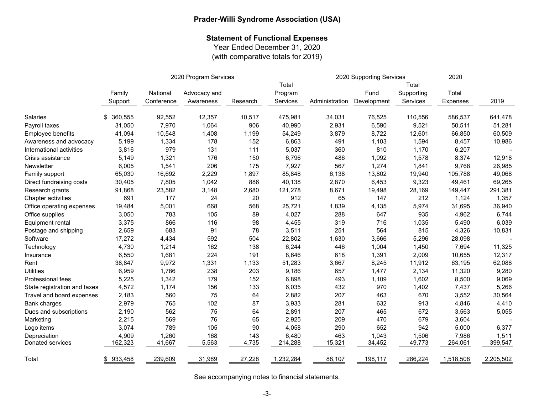## **Statement of Functional Expenses**

Year Ended December 31, 2020

(with comparative totals for 2019)

|                              |                   | 2020 Program Services  |                           |          | 2020 Supporting Services     |                |                     |                                 |                   |           |
|------------------------------|-------------------|------------------------|---------------------------|----------|------------------------------|----------------|---------------------|---------------------------------|-------------------|-----------|
|                              | Family<br>Support | National<br>Conference | Advocacy and<br>Awareness | Research | Total<br>Program<br>Services | Administration | Fund<br>Development | Total<br>Supporting<br>Services | Total<br>Expenses | 2019      |
|                              |                   |                        |                           |          |                              |                |                     |                                 |                   |           |
| Salaries                     | 360,555<br>\$     | 92,552                 | 12,357                    | 10,517   | 475,981                      | 34,031         | 76,525              | 110,556                         | 586,537           | 641,478   |
| Payroll taxes                | 31,050            | 7,970                  | 1,064                     | 906      | 40,990                       | 2,931          | 6,590               | 9,521                           | 50,511            | 51,281    |
| Employee benefits            | 41,094            | 10,548                 | 1,408                     | 1,199    | 54,249                       | 3,879          | 8,722               | 12,601                          | 66,850            | 60,509    |
| Awareness and advocacy       | 5,199             | 1,334                  | 178                       | 152      | 6,863                        | 491            | 1,103               | 1,594                           | 8,457             | 10,986    |
| International activities     | 3,816             | 979                    | 131                       | 111      | 5,037                        | 360            | 810                 | 1,170                           | 6,207             |           |
| Crisis assistance            | 5,149             | 1,321                  | 176                       | 150      | 6,796                        | 486            | 1,092               | 1,578                           | 8,374             | 12,918    |
| Newsletter                   | 6,005             | 1,541                  | 206                       | 175      | 7,927                        | 567            | 1,274               | 1,841                           | 9,768             | 26,985    |
| Family support               | 65,030            | 16,692                 | 2,229                     | 1,897    | 85,848                       | 6,138          | 13,802              | 19,940                          | 105,788           | 49,068    |
| Direct fundraising costs     | 30,405            | 7,805                  | 1,042                     | 886      | 40,138                       | 2,870          | 6,453               | 9,323                           | 49,461            | 69,265    |
| Research grants              | 91,868            | 23,582                 | 3,148                     | 2,680    | 121,278                      | 8,671          | 19,498              | 28,169                          | 149,447           | 291,381   |
| Chapter activities           | 691               | 177                    | 24                        | 20       | 912                          | 65             | 147                 | 212                             | 1,124             | 1,357     |
| Office operating expenses    | 19,484            | 5,001                  | 668                       | 568      | 25,721                       | 1,839          | 4,135               | 5,974                           | 31,695            | 36,940    |
| Office supplies              | 3,050             | 783                    | 105                       | 89       | 4,027                        | 288            | 647                 | 935                             | 4,962             | 6,744     |
| Equipment rental             | 3,375             | 866                    | 116                       | 98       | 4,455                        | 319            | 716                 | 1,035                           | 5,490             | 6,039     |
| Postage and shipping         | 2,659             | 683                    | 91                        | 78       | 3,511                        | 251            | 564                 | 815                             | 4,326             | 10,831    |
| Software                     | 17,272            | 4,434                  | 592                       | 504      | 22,802                       | 1,630          | 3,666               | 5,296                           | 28,098            |           |
| Technology                   | 4,730             | 1,214                  | 162                       | 138      | 6,244                        | 446            | 1,004               | 1,450                           | 7,694             | 11,325    |
| Insurance                    | 6,550             | 1,681                  | 224                       | 191      | 8,646                        | 618            | 1,391               | 2,009                           | 10,655            | 12,317    |
| Rent                         | 38,847            | 9,972                  | 1,331                     | 1,133    | 51,283                       | 3,667          | 8,245               | 11,912                          | 63,195            | 62,088    |
| <b>Utilities</b>             | 6,959             | 1,786                  | 238                       | 203      | 9,186                        | 657            | 1,477               | 2,134                           | 11,320            | 9,280     |
| Professional fees            | 5,225             | 1,342                  | 179                       | 152      | 6,898                        | 493            | 1,109               | 1,602                           | 8,500             | 9,069     |
| State registration and taxes | 4,572             | 1,174                  | 156                       | 133      | 6,035                        | 432            | 970                 | 1,402                           | 7,437             | 5,266     |
| Travel and board expenses    | 2,183             | 560                    | 75                        | 64       | 2,882                        | 207            | 463                 | 670                             | 3,552             | 30,564    |
| Bank charges                 | 2,979             | 765                    | 102                       | 87       | 3,933                        | 281            | 632                 | 913                             | 4,846             | 4,410     |
| Dues and subscriptions       | 2,190             | 562                    | 75                        | 64       | 2,891                        | 207            | 465                 | 672                             | 3,563             | 5,055     |
| Marketing                    | 2,215             | 569                    | 76                        | 65       | 2,925                        | 209            | 470                 | 679                             | 3,604             |           |
| Logo items                   | 3,074             | 789                    | 105                       | 90       | 4,058                        | 290            | 652                 | 942                             | 5,000             | 6,377     |
| Depreciation                 | 4,909             | 1,260                  | 168                       | 143      | 6,480                        | 463            | 1,043               | 1,506                           | 7,986             | 1,511     |
| Donated services             | 162,323           | 41,667                 | 5,563                     | 4,735    | 214,288                      | 15,321         | 34,452              | 49,773                          | 264,061           | 399,547   |
| Total                        | 933,458<br>\$     | 239,609                | 31,989                    | 27,228   | 1,232,284                    | 88,107         | 198,117             | 286,224                         | 1,518,508         | 2,205,502 |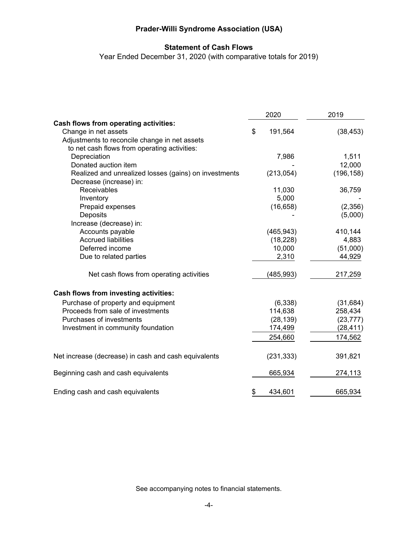# **Statement of Cash Flows**

Year Ended December 31, 2020 (with comparative totals for 2019)

|                                                       | 2020 |            | 2019       |  |
|-------------------------------------------------------|------|------------|------------|--|
| Cash flows from operating activities:                 |      |            |            |  |
| Change in net assets                                  | \$   | 191,564    | (38, 453)  |  |
| Adjustments to reconcile change in net assets         |      |            |            |  |
| to net cash flows from operating activities:          |      |            |            |  |
| Depreciation                                          |      | 7,986      | 1,511      |  |
| Donated auction item                                  |      |            | 12,000     |  |
| Realized and unrealized losses (gains) on investments |      | (213,054)  | (196, 158) |  |
| Decrease (increase) in:                               |      |            |            |  |
| Receivables                                           |      | 11,030     | 36,759     |  |
| Inventory                                             |      | 5,000      |            |  |
| Prepaid expenses                                      |      | (16, 658)  | (2,356)    |  |
| Deposits                                              |      |            | (5,000)    |  |
| Increase (decrease) in:                               |      |            |            |  |
| Accounts payable                                      |      | (465, 943) | 410,144    |  |
| <b>Accrued liabilities</b>                            |      | (18, 228)  | 4,883      |  |
| Deferred income                                       |      | 10,000     | (51,000)   |  |
| Due to related parties                                |      | 2,310      | 44,929     |  |
| Net cash flows from operating activities              |      | (485, 993) | 217,259    |  |
| Cash flows from investing activities:                 |      |            |            |  |
| Purchase of property and equipment                    |      | (6, 338)   | (31, 684)  |  |
| Proceeds from sale of investments                     |      | 114,638    | 258,434    |  |
| Purchases of investments                              |      | (28, 139)  | (23, 777)  |  |
| Investment in community foundation                    |      | 174,499    | (28, 411)  |  |
|                                                       |      | 254,660    | 174,562    |  |
| Net increase (decrease) in cash and cash equivalents  |      | (231, 333) | 391,821    |  |
| Beginning cash and cash equivalents                   |      | 665,934    | 274,113    |  |
| Ending cash and cash equivalents                      | \$   | 434,601    | 665,934    |  |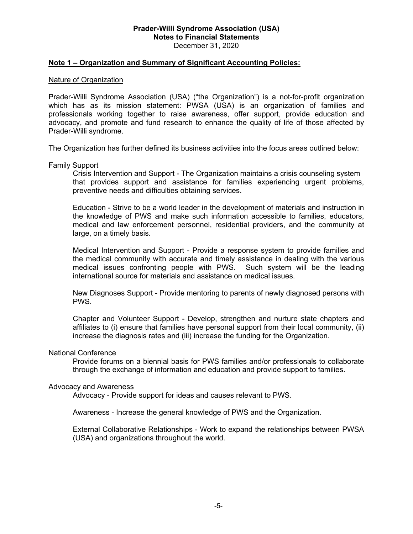### **Note 1 – Organization and Summary of Significant Accounting Policies:**

#### Nature of Organization

Prader-Willi Syndrome Association (USA) ("the Organization") is a not-for-profit organization which has as its mission statement: PWSA (USA) is an organization of families and professionals working together to raise awareness, offer support, provide education and advocacy, and promote and fund research to enhance the quality of life of those affected by Prader-Willi syndrome.

The Organization has further defined its business activities into the focus areas outlined below:

Family Support

Crisis Intervention and Support - The Organization maintains a crisis counseling system that provides support and assistance for families experiencing urgent problems, preventive needs and difficulties obtaining services.

Education - Strive to be a world leader in the development of materials and instruction in the knowledge of PWS and make such information accessible to families, educators, medical and law enforcement personnel, residential providers, and the community at large, on a timely basis.

Medical Intervention and Support - Provide a response system to provide families and the medical community with accurate and timely assistance in dealing with the various medical issues confronting people with PWS. Such system will be the leading international source for materials and assistance on medical issues.

New Diagnoses Support - Provide mentoring to parents of newly diagnosed persons with PWS.

Chapter and Volunteer Support - Develop, strengthen and nurture state chapters and affiliates to (i) ensure that families have personal support from their local community, (ii) increase the diagnosis rates and (iii) increase the funding for the Organization.

#### National Conference

Provide forums on a biennial basis for PWS families and/or professionals to collaborate through the exchange of information and education and provide support to families.

### Advocacy and Awareness

Advocacy - Provide support for ideas and causes relevant to PWS.

Awareness - Increase the general knowledge of PWS and the Organization.

External Collaborative Relationships - Work to expand the relationships between PWSA (USA) and organizations throughout the world.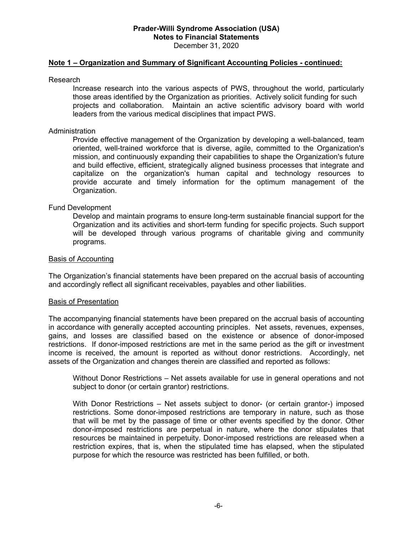### **Note 1 – Organization and Summary of Significant Accounting Policies - continued:**

#### Research

Increase research into the various aspects of PWS, throughout the world, particularly those areas identified by the Organization as priorities. Actively solicit funding for such projects and collaboration. Maintain an active scientific advisory board with world leaders from the various medical disciplines that impact PWS.

### Administration

Provide effective management of the Organization by developing a well-balanced, team oriented, well-trained workforce that is diverse, agile, committed to the Organization's mission, and continuously expanding their capabilities to shape the Organization's future and build effective, efficient, strategically aligned business processes that integrate and capitalize on the organization's human capital and technology resources to provide accurate and timely information for the optimum management of the Organization.

### Fund Development

Develop and maintain programs to ensure long-term sustainable financial support for the Organization and its activities and short-term funding for specific projects. Such support will be developed through various programs of charitable giving and community programs.

#### Basis of Accounting

The Organization's financial statements have been prepared on the accrual basis of accounting and accordingly reflect all significant receivables, payables and other liabilities.

#### Basis of Presentation

The accompanying financial statements have been prepared on the accrual basis of accounting in accordance with generally accepted accounting principles. Net assets, revenues, expenses, gains, and losses are classified based on the existence or absence of donor-imposed restrictions. If donor-imposed restrictions are met in the same period as the gift or investment income is received, the amount is reported as without donor restrictions. Accordingly, net assets of the Organization and changes therein are classified and reported as follows:

Without Donor Restrictions – Net assets available for use in general operations and not subject to donor (or certain grantor) restrictions.

With Donor Restrictions – Net assets subject to donor- (or certain grantor-) imposed restrictions. Some donor-imposed restrictions are temporary in nature, such as those that will be met by the passage of time or other events specified by the donor. Other donor-imposed restrictions are perpetual in nature, where the donor stipulates that resources be maintained in perpetuity. Donor-imposed restrictions are released when a restriction expires, that is, when the stipulated time has elapsed, when the stipulated purpose for which the resource was restricted has been fulfilled, or both.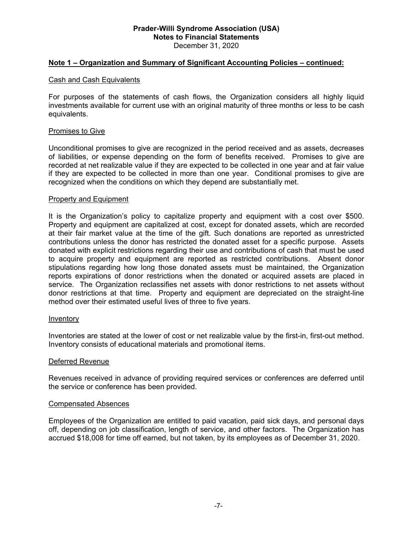### **Note 1 – Organization and Summary of Significant Accounting Policies – continued:**

#### Cash and Cash Equivalents

For purposes of the statements of cash flows, the Organization considers all highly liquid investments available for current use with an original maturity of three months or less to be cash equivalents.

#### Promises to Give

Unconditional promises to give are recognized in the period received and as assets, decreases of liabilities, or expense depending on the form of benefits received. Promises to give are recorded at net realizable value if they are expected to be collected in one year and at fair value if they are expected to be collected in more than one year. Conditional promises to give are recognized when the conditions on which they depend are substantially met.

#### Property and Equipment

It is the Organization's policy to capitalize property and equipment with a cost over \$500. Property and equipment are capitalized at cost, except for donated assets, which are recorded at their fair market value at the time of the gift. Such donations are reported as unrestricted contributions unless the donor has restricted the donated asset for a specific purpose. Assets donated with explicit restrictions regarding their use and contributions of cash that must be used to acquire property and equipment are reported as restricted contributions. Absent donor stipulations regarding how long those donated assets must be maintained, the Organization reports expirations of donor restrictions when the donated or acquired assets are placed in service. The Organization reclassifies net assets with donor restrictions to net assets without donor restrictions at that time. Property and equipment are depreciated on the straight-line method over their estimated useful lives of three to five years.

#### Inventory

Inventories are stated at the lower of cost or net realizable value by the first-in, first-out method. Inventory consists of educational materials and promotional items.

#### Deferred Revenue

Revenues received in advance of providing required services or conferences are deferred until the service or conference has been provided.

#### Compensated Absences

Employees of the Organization are entitled to paid vacation, paid sick days, and personal days off, depending on job classification, length of service, and other factors. The Organization has accrued \$18,008 for time off earned, but not taken, by its employees as of December 31, 2020.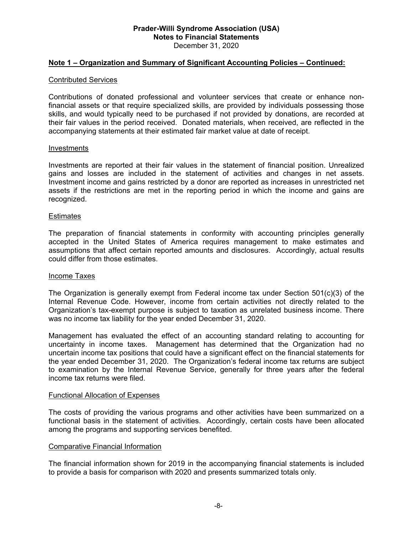### **Note 1 – Organization and Summary of Significant Accounting Policies – Continued:**

#### Contributed Services

Contributions of donated professional and volunteer services that create or enhance nonfinancial assets or that require specialized skills, are provided by individuals possessing those skills, and would typically need to be purchased if not provided by donations, are recorded at their fair values in the period received. Donated materials, when received, are reflected in the accompanying statements at their estimated fair market value at date of receipt.

#### Investments

Investments are reported at their fair values in the statement of financial position. Unrealized gains and losses are included in the statement of activities and changes in net assets. Investment income and gains restricted by a donor are reported as increases in unrestricted net assets if the restrictions are met in the reporting period in which the income and gains are recognized.

#### **Estimates**

The preparation of financial statements in conformity with accounting principles generally accepted in the United States of America requires management to make estimates and assumptions that affect certain reported amounts and disclosures. Accordingly, actual results could differ from those estimates.

### Income Taxes

The Organization is generally exempt from Federal income tax under Section  $501(c)(3)$  of the Internal Revenue Code. However, income from certain activities not directly related to the Organization's tax-exempt purpose is subject to taxation as unrelated business income. There was no income tax liability for the year ended December 31, 2020.

Management has evaluated the effect of an accounting standard relating to accounting for uncertainty in income taxes. Management has determined that the Organization had no uncertain income tax positions that could have a significant effect on the financial statements for the year ended December 31, 2020. The Organization's federal income tax returns are subject to examination by the Internal Revenue Service, generally for three years after the federal income tax returns were filed.

#### Functional Allocation of Expenses

The costs of providing the various programs and other activities have been summarized on a functional basis in the statement of activities. Accordingly, certain costs have been allocated among the programs and supporting services benefited.

#### Comparative Financial Information

The financial information shown for 2019 in the accompanying financial statements is included to provide a basis for comparison with 2020 and presents summarized totals only.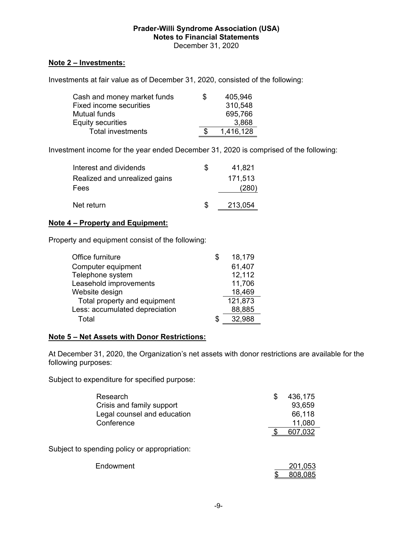### **Note 2 – Investments:**

Investments at fair value as of December 31, 2020, consisted of the following:

| Cash and money market funds    | S | 405,946   |
|--------------------------------|---|-----------|
| <b>Fixed income securities</b> |   | 310,548   |
| Mutual funds                   |   | 695,766   |
| Equity securities              |   | 3,868     |
| <b>Total investments</b>       |   | 1,416,128 |

Investment income for the year ended December 31, 2020 is comprised of the following:

| Interest and dividends        | SS  | 41,821  |
|-------------------------------|-----|---------|
| Realized and unrealized gains |     | 171,513 |
| Fees                          |     | (280)   |
| Net return                    | \$. | 213,054 |

### **Note 4 – Property and Equipment:**

Property and equipment consist of the following:

| Office furniture               |   | 18,179  |
|--------------------------------|---|---------|
| Computer equipment             |   | 61,407  |
| Telephone system               |   | 12,112  |
| Leasehold improvements         |   | 11,706  |
| Website design                 |   | 18,469  |
| Total property and equipment   |   | 121,873 |
| Less: accumulated depreciation |   | 88,885  |
| Total                          | S | 32,988  |

### **Note 5 – Net Assets with Donor Restrictions:**

At December 31, 2020, the Organization's net assets with donor restrictions are available for the following purposes:

Subject to expenditure for specified purpose:

| Research<br>Crisis and family support<br>Legal counsel and education<br>Conference | S | 436,175<br>93,659<br>66,118<br>11,080 |
|------------------------------------------------------------------------------------|---|---------------------------------------|
| Subject to spending policy or appropriation:                                       |   | 607,032                               |
| Endowment                                                                          |   | 201,053<br>808,085                    |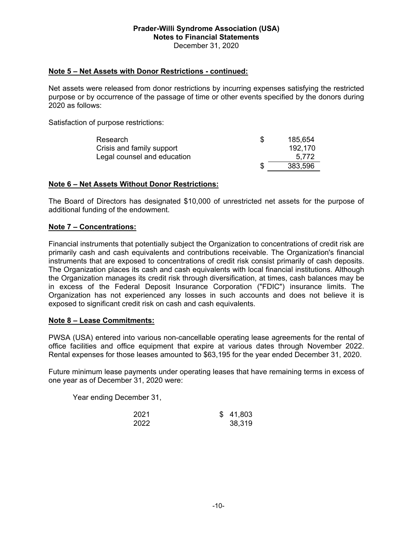### **Note 5 – Net Assets with Donor Restrictions - continued:**

Net assets were released from donor restrictions by incurring expenses satisfying the restricted purpose or by occurrence of the passage of time or other events specified by the donors during 2020 as follows:

Satisfaction of purpose restrictions:

| Research                    | 185,654 |
|-----------------------------|---------|
| Crisis and family support   | 192.170 |
| Legal counsel and education | 5.772   |
|                             | 383,596 |

### **Note 6 – Net Assets Without Donor Restrictions:**

The Board of Directors has designated \$10,000 of unrestricted net assets for the purpose of additional funding of the endowment.

### **Note 7 – Concentrations:**

Financial instruments that potentially subject the Organization to concentrations of credit risk are primarily cash and cash equivalents and contributions receivable. The Organization's financial instruments that are exposed to concentrations of credit risk consist primarily of cash deposits. The Organization places its cash and cash equivalents with local financial institutions. Although the Organization manages its credit risk through diversification, at times, cash balances may be in excess of the Federal Deposit Insurance Corporation ("FDIC") insurance limits. The Organization has not experienced any losses in such accounts and does not believe it is exposed to significant credit risk on cash and cash equivalents.

### **Note 8 – Lease Commitments:**

PWSA (USA) entered into various non-cancellable operating lease agreements for the rental of office facilities and office equipment that expire at various dates through November 2022. Rental expenses for those leases amounted to \$63,195 for the year ended December 31, 2020.

Future minimum lease payments under operating leases that have remaining terms in excess of one year as of December 31, 2020 were:

Year ending December 31,

| 2021 | \$41,803 |
|------|----------|
| 2022 | 38,319   |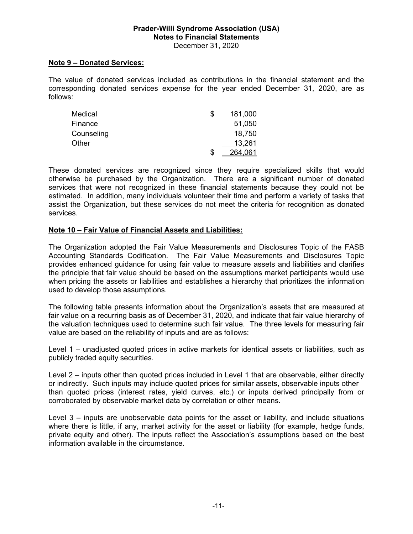### **Note 9 – Donated Services:**

The value of donated services included as contributions in the financial statement and the corresponding donated services expense for the year ended December 31, 2020, are as follows:

| Medical    | S | 181,000 |
|------------|---|---------|
| Finance    |   | 51,050  |
| Counseling |   | 18,750  |
| Other      |   | 13,261  |
|            | S | 264.061 |

These donated services are recognized since they require specialized skills that would otherwise be purchased by the Organization. There are a significant number of donated services that were not recognized in these financial statements because they could not be estimated. In addition, many individuals volunteer their time and perform a variety of tasks that assist the Organization, but these services do not meet the criteria for recognition as donated services.

### **Note 10 – Fair Value of Financial Assets and Liabilities:**

The Organization adopted the Fair Value Measurements and Disclosures Topic of the FASB Accounting Standards Codification. The Fair Value Measurements and Disclosures Topic provides enhanced guidance for using fair value to measure assets and liabilities and clarifies the principle that fair value should be based on the assumptions market participants would use when pricing the assets or liabilities and establishes a hierarchy that prioritizes the information used to develop those assumptions.

The following table presents information about the Organization's assets that are measured at fair value on a recurring basis as of December 31, 2020, and indicate that fair value hierarchy of the valuation techniques used to determine such fair value. The three levels for measuring fair value are based on the reliability of inputs and are as follows:

Level 1 – unadjusted quoted prices in active markets for identical assets or liabilities, such as publicly traded equity securities.

Level 2 – inputs other than quoted prices included in Level 1 that are observable, either directly or indirectly. Such inputs may include quoted prices for similar assets, observable inputs other than quoted prices (interest rates, yield curves, etc.) or inputs derived principally from or corroborated by observable market data by correlation or other means.

Level 3 – inputs are unobservable data points for the asset or liability, and include situations where there is little, if any, market activity for the asset or liability (for example, hedge funds, private equity and other). The inputs reflect the Association's assumptions based on the best information available in the circumstance.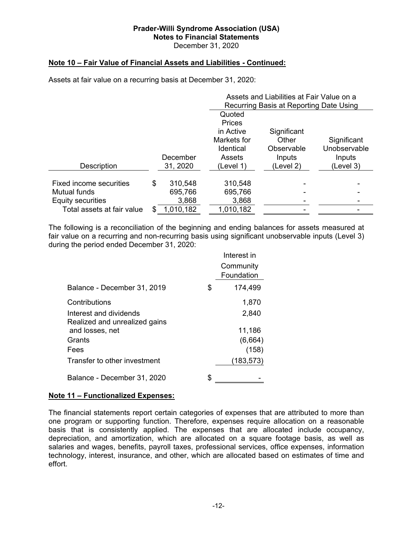December 31, 2020

## **Note 10 – Fair Value of Financial Assets and Liabilities - Continued:**

Assets at fair value on a recurring basis at December 31, 2020:

|                            |     |           | Assets and Liabilities at Fair Value on a |                                         |              |  |  |
|----------------------------|-----|-----------|-------------------------------------------|-----------------------------------------|--------------|--|--|
|                            |     |           |                                           | Recurring Basis at Reporting Date Using |              |  |  |
|                            |     |           | Quoted                                    |                                         |              |  |  |
|                            |     |           | <b>Prices</b>                             |                                         |              |  |  |
|                            |     |           | in Active                                 | Significant                             |              |  |  |
|                            |     |           | Markets for                               | Other                                   | Significant  |  |  |
|                            |     |           | <b>Identical</b>                          | Observable                              | Unobservable |  |  |
|                            |     | December  | Assets                                    | Inputs                                  | Inputs       |  |  |
| Description                |     | 31, 2020  | (Level 1)                                 | (Level 2)                               | (Level 3)    |  |  |
|                            |     |           |                                           |                                         |              |  |  |
| Fixed income securities    | \$  | 310,548   | 310,548                                   |                                         |              |  |  |
| Mutual funds               |     | 695,766   | 695,766                                   |                                         |              |  |  |
| Equity securities          |     | 3,868     | 3,868                                     |                                         |              |  |  |
| Total assets at fair value | \$. | 1,010,182 | 1,010,182                                 |                                         |              |  |  |

The following is a reconciliation of the beginning and ending balances for assets measured at fair value on a recurring and non-recurring basis using significant unobservable inputs (Level 3) during the period ended December 31, 2020:

|                                                         |    | Interest in             |
|---------------------------------------------------------|----|-------------------------|
|                                                         |    | Community<br>Foundation |
|                                                         |    |                         |
| Balance - December 31, 2019                             | S. | 174,499                 |
| Contributions                                           |    | 1,870                   |
| Interest and dividends<br>Realized and unrealized gains |    | 2,840                   |
| and losses, net                                         |    | 11,186                  |
| Grants                                                  |    | (6,664)                 |
| Fees                                                    |    | (158)                   |
| Transfer to other investment                            |    | (183,573)               |
| Balance - December 31, 2020                             |    |                         |

### **Note 11 – Functionalized Expenses:**

The financial statements report certain categories of expenses that are attributed to more than one program or supporting function. Therefore, expenses require allocation on a reasonable basis that is consistently applied. The expenses that are allocated include occupancy, depreciation, and amortization, which are allocated on a square footage basis, as well as salaries and wages, benefits, payroll taxes, professional services, office expenses, information technology, interest, insurance, and other, which are allocated based on estimates of time and effort.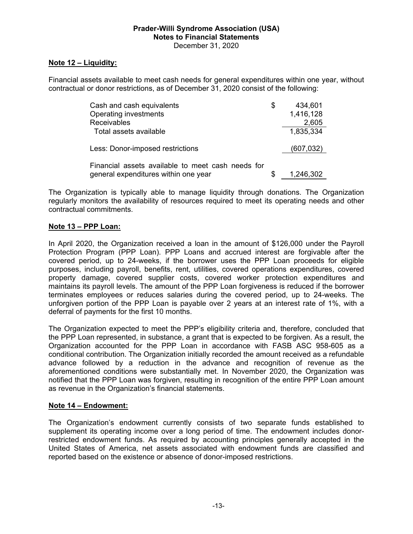### **Note 12 – Liquidity:**

Financial assets available to meet cash needs for general expenditures within one year, without contractual or donor restrictions, as of December 31, 2020 consist of the following:

| Cash and cash equivalents                         | \$<br>434,601 |
|---------------------------------------------------|---------------|
| Operating investments                             | 1,416,128     |
| Receivables                                       | 2,605         |
| Total assets available                            | 1,835,334     |
| Less: Donor-imposed restrictions                  | (607, 032)    |
| Financial assets available to meet cash needs for |               |
| general expenditures within one year              | 1,246,302     |

The Organization is typically able to manage liquidity through donations. The Organization regularly monitors the availability of resources required to meet its operating needs and other contractual commitments.

### **Note 13 – PPP Loan:**

In April 2020, the Organization received a loan in the amount of \$126,000 under the Payroll Protection Program (PPP Loan). PPP Loans and accrued interest are forgivable after the covered period, up to 24-weeks, if the borrower uses the PPP Loan proceeds for eligible purposes, including payroll, benefits, rent, utilities, covered operations expenditures, covered property damage, covered supplier costs, covered worker protection expenditures and maintains its payroll levels. The amount of the PPP Loan forgiveness is reduced if the borrower terminates employees or reduces salaries during the covered period, up to 24-weeks. The unforgiven portion of the PPP Loan is payable over 2 years at an interest rate of 1%, with a deferral of payments for the first 10 months.

The Organization expected to meet the PPP's eligibility criteria and, therefore, concluded that the PPP Loan represented, in substance, a grant that is expected to be forgiven. As a result, the Organization accounted for the PPP Loan in accordance with FASB ASC 958-605 as a conditional contribution. The Organization initially recorded the amount received as a refundable advance followed by a reduction in the advance and recognition of revenue as the aforementioned conditions were substantially met. In November 2020, the Organization was notified that the PPP Loan was forgiven, resulting in recognition of the entire PPP Loan amount as revenue in the Organization's financial statements.

### **Note 14 – Endowment:**

The Organization's endowment currently consists of two separate funds established to supplement its operating income over a long period of time. The endowment includes donorrestricted endowment funds. As required by accounting principles generally accepted in the United States of America, net assets associated with endowment funds are classified and reported based on the existence or absence of donor-imposed restrictions.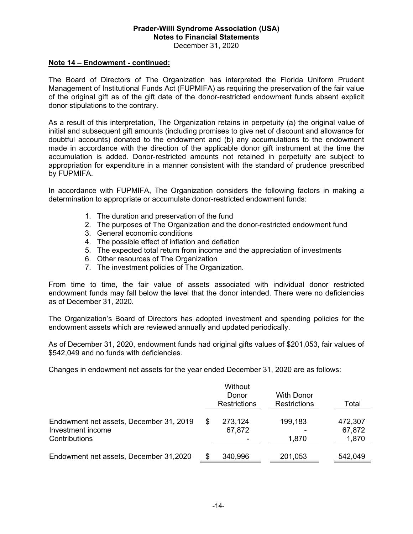### **Note 14 – Endowment - continued:**

The Board of Directors of The Organization has interpreted the Florida Uniform Prudent Management of Institutional Funds Act (FUPMIFA) as requiring the preservation of the fair value of the original gift as of the gift date of the donor-restricted endowment funds absent explicit donor stipulations to the contrary.

As a result of this interpretation, The Organization retains in perpetuity (a) the original value of initial and subsequent gift amounts (including promises to give net of discount and allowance for doubtful accounts) donated to the endowment and (b) any accumulations to the endowment made in accordance with the direction of the applicable donor gift instrument at the time the accumulation is added. Donor-restricted amounts not retained in perpetuity are subject to appropriation for expenditure in a manner consistent with the standard of prudence prescribed by FUPMIFA.

In accordance with FUPMIFA, The Organization considers the following factors in making a determination to appropriate or accumulate donor-restricted endowment funds:

- 1. The duration and preservation of the fund
- 2. The purposes of The Organization and the donor-restricted endowment fund
- 3. General economic conditions
- 4. The possible effect of inflation and deflation
- 5. The expected total return from income and the appreciation of investments
- 6. Other resources of The Organization
- 7. The investment policies of The Organization.

From time to time, the fair value of assets associated with individual donor restricted endowment funds may fall below the level that the donor intended. There were no deficiencies as of December 31, 2020.

The Organization's Board of Directors has adopted investment and spending policies for the endowment assets which are reviewed annually and updated periodically.

As of December 31, 2020, endowment funds had original gifts values of \$201,053, fair values of \$542,049 and no funds with deficiencies.

Changes in endowment net assets for the year ended December 31, 2020 are as follows:

|                                                                               | Without<br>Donor<br><b>Restrictions</b> | <b>With Donor</b><br><b>Restrictions</b> | Total                      |
|-------------------------------------------------------------------------------|-----------------------------------------|------------------------------------------|----------------------------|
| Endowment net assets, December 31, 2019<br>Investment income<br>Contributions | 273,124<br>67,872                       | 199,183<br>1,870                         | 472,307<br>67,872<br>1,870 |
| Endowment net assets, December 31,2020                                        | 340,996                                 | 201,053                                  | 542,049                    |